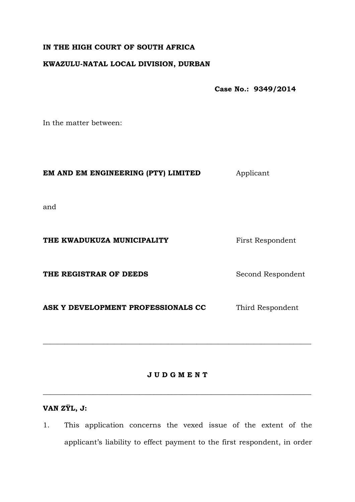# **IN THE HIGH COURT OF SOUTH AFRICA**

## **KWAZULU-NATAL LOCAL DIVISION, DURBAN**

**Case No.: 9349/2014**

In the matter between:

### **EM AND EM ENGINEERING (PTY) LIMITED** Applicant

and

## **THE KWADUKUZA MUNICIPALITY** First Respondent

**THE REGISTRAR OF DEEDS** Second Respondent

ASK Y DEVELOPMENT PROFESSIONALS CC Third Respondent

## **J U D G M E N T**

\_\_\_\_\_\_\_\_\_\_\_\_\_\_\_\_\_\_\_\_\_\_\_\_\_\_\_\_\_\_\_\_\_\_\_\_\_\_\_\_\_\_\_\_\_\_\_\_\_\_\_\_\_\_\_\_\_\_\_\_\_\_\_\_\_\_\_\_\_\_\_\_\_\_\_

 $\_$  , and the set of the set of the set of the set of the set of the set of the set of the set of the set of the set of the set of the set of the set of the set of the set of the set of the set of the set of the set of th

# **VAN ZŸL, J:**

1. This application concerns the vexed issue of the extent of the applicant's liability to effect payment to the first respondent, in order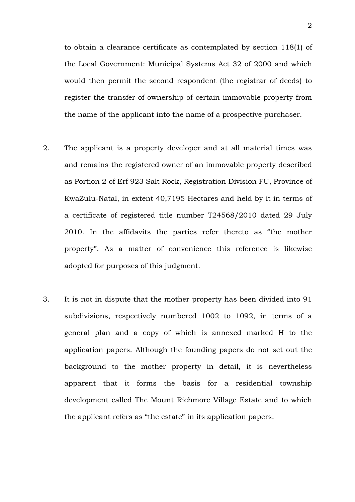to obtain a clearance certificate as contemplated by section 118(1) of the Local Government: Municipal Systems Act 32 of 2000 and which would then permit the second respondent (the registrar of deeds) to register the transfer of ownership of certain immovable property from the name of the applicant into the name of a prospective purchaser.

- 2. The applicant is a property developer and at all material times was and remains the registered owner of an immovable property described as Portion 2 of Erf 923 Salt Rock, Registration Division FU, Province of KwaZulu-Natal, in extent 40,7195 Hectares and held by it in terms of a certificate of registered title number T24568/2010 dated 29 July 2010. In the affidavits the parties refer thereto as "the mother property". As a matter of convenience this reference is likewise adopted for purposes of this judgment.
- 3. It is not in dispute that the mother property has been divided into 91 subdivisions, respectively numbered 1002 to 1092, in terms of a general plan and a copy of which is annexed marked H to the application papers. Although the founding papers do not set out the background to the mother property in detail, it is nevertheless apparent that it forms the basis for a residential township development called The Mount Richmore Village Estate and to which the applicant refers as "the estate" in its application papers.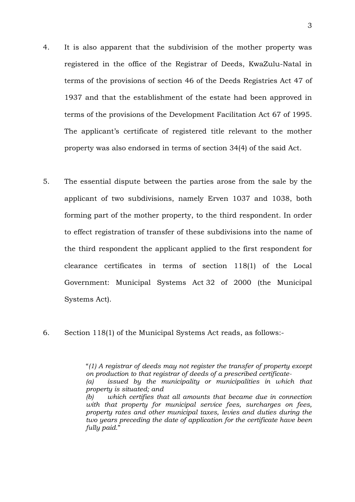- 4. It is also apparent that the subdivision of the mother property was registered in the office of the Registrar of Deeds, KwaZulu-Natal in terms of the provisions of section 46 of the Deeds Registries Act 47 of 1937 and that the establishment of the estate had been approved in terms of the provisions of the Development Facilitation Act 67 of 1995. The applicant's certificate of registered title relevant to the mother property was also endorsed in terms of section 34(4) of the said Act.
- 5. The essential dispute between the parties arose from the sale by the applicant of two subdivisions, namely Erven 1037 and 1038, both forming part of the mother property, to the third respondent. In order to effect registration of transfer of these subdivisions into the name of the third respondent the applicant applied to the first respondent for clearance certificates in terms of section 118(1) of the Local Government: Municipal Systems Act 32 of 2000 (the Municipal Systems Act).
- 6. Section 118(1) of the Municipal Systems Act reads, as follows:-

<sup>&</sup>quot;*(1) A registrar of deeds may not register the transfer of property except on production to that registrar of deeds of a prescribed certificate- (a) issued by the municipality or municipalities in which that property is situated; and (b) which certifies that all amounts that became due in connection with that property for municipal service fees, surcharges on fees, property rates and other municipal taxes, levies and duties during the two years preceding the date of application for the certificate have been fully paid.*"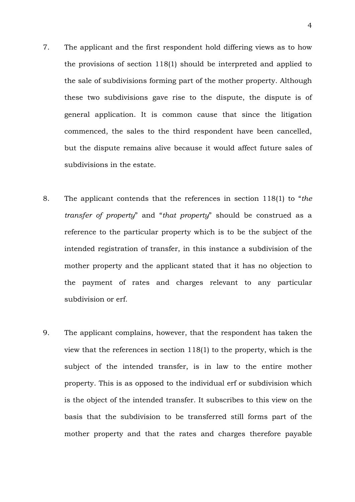- 7. The applicant and the first respondent hold differing views as to how the provisions of section 118(1) should be interpreted and applied to the sale of subdivisions forming part of the mother property. Although these two subdivisions gave rise to the dispute, the dispute is of general application. It is common cause that since the litigation commenced, the sales to the third respondent have been cancelled, but the dispute remains alive because it would affect future sales of subdivisions in the estate.
- 8. The applicant contends that the references in section 118(1) to "*the transfer of property*" and "*that property*" should be construed as a reference to the particular property which is to be the subject of the intended registration of transfer, in this instance a subdivision of the mother property and the applicant stated that it has no objection to the payment of rates and charges relevant to any particular subdivision or erf.
- 9. The applicant complains, however, that the respondent has taken the view that the references in section 118(1) to the property, which is the subject of the intended transfer, is in law to the entire mother property. This is as opposed to the individual erf or subdivision which is the object of the intended transfer. It subscribes to this view on the basis that the subdivision to be transferred still forms part of the mother property and that the rates and charges therefore payable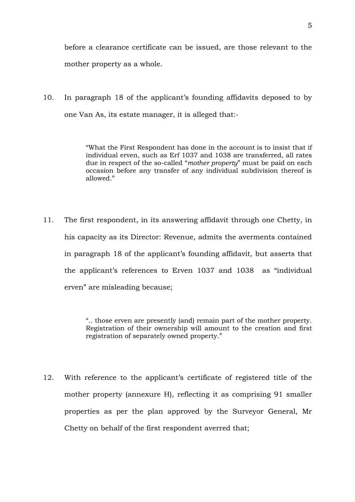before a clearance certificate can be issued, are those relevant to the mother property as a whole.

10. In paragraph 18 of the applicant's founding affidavits deposed to by one Van As, its estate manager, it is alleged that:-

> "What the First Respondent has done in the account is to insist that if individual erven, such as Erf 1037 and 1038 are transferred, all rates due in respect of the so-called "*mother property*" must be paid on each occasion before any transfer of any individual subdivision thereof is allowed."

11. The first respondent, in its answering affidavit through one Chetty, in his capacity as its Director: Revenue, admits the averments contained in paragraph 18 of the applicant's founding affidavit, but asserts that the applicant's references to Erven 1037 and 1038 as "individual erven" are misleading because;

> ".. those erven are presently (and) remain part of the mother property. Registration of their ownership will amount to the creation and first registration of separately owned property."

12. With reference to the applicant's certificate of registered title of the mother property (annexure H), reflecting it as comprising 91 smaller properties as per the plan approved by the Surveyor General, Mr Chetty on behalf of the first respondent averred that;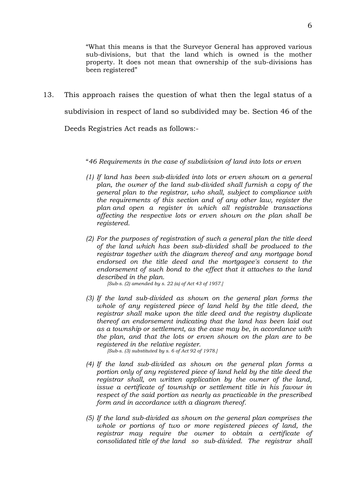"What this means is that the Surveyor General has approved various sub-divisions, but that the land which is owned is the mother property. It does not mean that ownership of the sub-divisions has been registered"

13. This approach raises the question of what then the legal status of a subdivision in respect of land so subdivided may be. Section 46 of the Deeds Registries Act reads as follows:-

#### "*46 Requirements in the case of subdivision of land into lots or erven*

- *(1) If land has been sub-divided into lots or erven shown on a general plan, the owner of the land sub-divided shall furnish a copy of the general plan to the registrar, who shall, subject to compliance with the requirements of this section and of any other law, register the plan and open a register in which all registrable transactions affecting the respective lots or erven shown on the plan shall be registered.*
- *(2) For the purposes of registration of such a general plan the title deed of the land which has been sub-divided shall be produced to the registrar together with the diagram thereof and any mortgage bond endorsed on the title deed and the mortgagee's consent to the endorsement of such bond to the effect that it attaches to the land described in the plan.*

*[Sub-s. (2) amended by s. 22 (a) of Act 43 of 1957.]*

*(3) If the land sub-divided as shown on the general plan forms the whole of any registered piece of land held by the title deed, the registrar shall make upon the title deed and the registry duplicate thereof an endorsement indicating that the land has been laid out as a township or settlement, as the case may be, in accordance with the plan, and that the lots or erven shown on the plan are to be registered in the relative register.*

*[Sub-s. (3) substituted by s. 6 of Act 92 of 1978.]*

- *(4) If the land sub-divided as shown on the general plan forms a portion only of any registered piece of land held by the title deed the registrar shall, on written application by the owner of the land, issue a certificate of township or settlement title in his favour in respect of the said portion as nearly as practicable in the prescribed form and in accordance with a diagram thereof.*
- *(5) If the land sub-divided as shown on the general plan comprises the whole or portions of two or more registered pieces of land, the registrar may require the owner to obtain a certificate of consolidated title of the land so sub-divided. The registrar shall*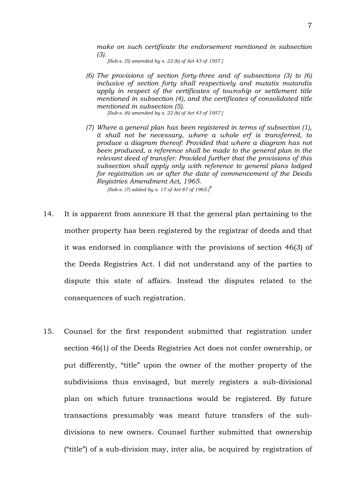*make on such certificate the endorsement mentioned in subsection (3).*

*[Sub-s. (5) amended by s. 22 (b) of Act 43 of 1957.]*

- *(6) The provisions of section forty-three and of subsections (3) to (6) inclusive of section forty shall respectively and mutatis mutandis apply in respect of the certificates of township or settlement title mentioned in subsection (4), and the certificates of consolidated title mentioned in subsection (5). [Sub-s. (6) amended by s. 22 (b) of Act 43 of 1957.]*
- *(7) Where a general plan has been registered in terms of subsection (1), it shall not be necessary, where a whole erf is transferred, to produce a diagram thereof: Provided that where a diagram has not been produced, a reference shall be made to the general plan in the relevant deed of transfer: Provided further that the provisions of this subsection shall apply only with reference to general plans lodged for registration on or after the date of commencement of the Deeds Registries Amendment Act, 1965.*

*[Sub-s. (7) added by s. 17 of Act 87 of 1965.]*"

- 14. It is apparent from annexure H that the general plan pertaining to the mother property has been registered by the registrar of deeds and that it was endorsed in compliance with the provisions of section 46(3) of the Deeds Registries Act. I did not understand any of the parties to dispute this state of affairs. Instead the disputes related to the consequences of such registration.
- 15. Counsel for the first respondent submitted that registration under section 46(1) of the Deeds Registries Act does not confer ownership, or put differently, "title" upon the owner of the mother property of the subdivisions thus envisaged, but merely registers a sub-divisional plan on which future transactions would be registered. By future transactions presumably was meant future transfers of the subdivisions to new owners. Counsel further submitted that ownership ("title") of a sub-division may, inter alia, be acquired by registration of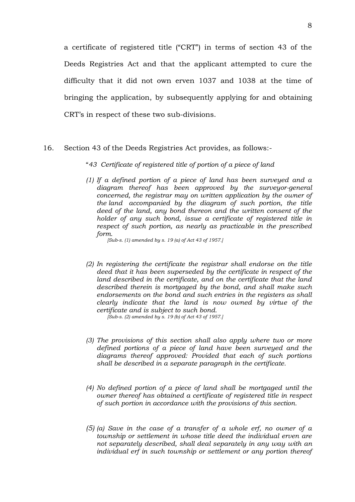a certificate of registered title ("CRT") in terms of section 43 of the Deeds Registries Act and that the applicant attempted to cure the difficulty that it did not own erven 1037 and 1038 at the time of bringing the application, by subsequently applying for and obtaining CRT's in respect of these two sub-divisions.

#### 16. Section 43 of the Deeds Registries Act provides, as follows:-

#### "*43 Certificate of registered title of portion of a piece of land*

*(1) If a defined portion of a piece of land has been surveyed and a diagram thereof has been approved by the surveyor-general concerned, the registrar may on written application by the owner of the land accompanied by the diagram of such portion, the title deed of the land, any bond thereon and the written consent of the holder of any such bond, issue a certificate of registered title in respect of such portion, as nearly as practicable in the prescribed form.*

*[Sub-s. (1) amended by s. 19 (a) of Act 43 of 1957.]*

*(2) In registering the certificate the registrar shall endorse on the title deed that it has been superseded by the certificate in respect of the land described in the certificate, and on the certificate that the land described therein is mortgaged by the bond, and shall make such endorsements on the bond and such entries in the registers as shall clearly indicate that the land is now owned by virtue of the certificate and is subject to such bond.*

*[Sub-s. (2) amended by s. 19 (b) of Act 43 of 1957.]*

- *(3) The provisions of this section shall also apply where two or more defined portions of a piece of land have been surveyed and the diagrams thereof approved: Provided that each of such portions shall be described in a separate paragraph in the certificate.*
- *(4) No defined portion of a piece of land shall be mortgaged until the owner thereof has obtained a certificate of registered title in respect of such portion in accordance with the provisions of this section.*
- *(5) (a) Save in the case of a transfer of a whole erf, no owner of a township or settlement in whose title deed the individual erven are not separately described, shall deal separately in any way with an individual erf in such township or settlement or any portion thereof*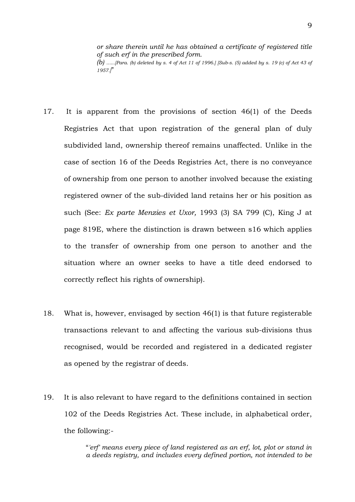*or share therein until he has obtained a certificate of registered title of such erf in the prescribed form. (b) ......[Para. (b) deleted by s. 4 of Act 11 of 1996.] [Sub-s. (5) added by s. 19 (c) of Act 43 of* 

*1957.]*"

- 17. It is apparent from the provisions of section 46(1) of the Deeds Registries Act that upon registration of the general plan of duly subdivided land, ownership thereof remains unaffected. Unlike in the case of section 16 of the Deeds Registries Act, there is no conveyance of ownership from one person to another involved because the existing registered owner of the sub-divided land retains her or his position as such (See: *Ex parte Menzies et Uxor,* 1993 (3) SA 799 (C), King J at page 819E, where the distinction is drawn between s16 which applies to the transfer of ownership from one person to another and the situation where an owner seeks to have a title deed endorsed to correctly reflect his rights of ownership).
- 18. What is, however, envisaged by section 46(1) is that future registerable transactions relevant to and affecting the various sub-divisions thus recognised, would be recorded and registered in a dedicated register as opened by the registrar of deeds.
- 19. It is also relevant to have regard to the definitions contained in section 102 of the Deeds Registries Act. These include, in alphabetical order, the following:-

"*'erf' means every piece of land registered as an erf, lot, plot or stand in a deeds registry, and includes every defined portion, not intended to be*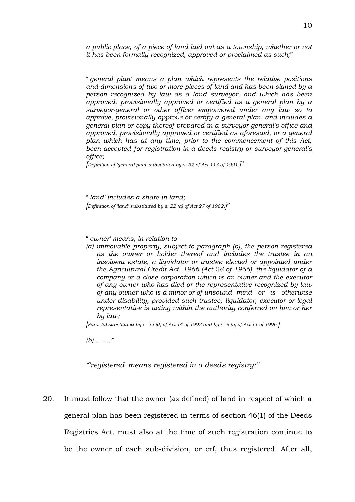*a public place, of a piece of land laid out as a township, whether or not it has been formally recognized, approved or proclaimed as such;*"

"*'general plan' means a plan which represents the relative positions and dimensions of two or more pieces of land and has been signed by a person recognized by law as a land surveyor, and which has been approved, provisionally approved or certified as a general plan by a surveyor-general or other officer empowered under any law so to approve, provisionally approve or certify a general plan, and includes a general plan or copy thereof prepared in a surveyor-general's office and approved, provisionally approved or certified as aforesaid, or a general plan which has at any time, prior to the commencement of this Act, been accepted for registration in a deeds registry or surveyor-general's office;*

*[Definition of 'general plan' substituted by s. 32 of Act 113 of 1991.]*"

"*'land' includes a share in land; [Definition of 'land' substituted by s. 22 (a) of Act 27 of 1982.]*"

"*'owner' means, in relation to-*

*(a) immovable property, subject to paragraph (b), the person registered as the owner or holder thereof and includes the trustee in an insolvent estate, a liquidator or trustee elected or appointed under the Agricultural Credit Act, 1966 (Act 28 of 1966), the liquidator of a company or a close corporation which is an owner and the executor of any owner who has died or the representative recognized by law of any owner who is a minor or of unsound mind or is otherwise under disability, provided such trustee, liquidator, executor or legal representative is acting within the authority conferred on him or her by law;*

*[Para. (a) substituted by s. 22 (d) of Act 14 of 1993 and by s. 9 (b) of Act 11 of 1996.]*

*(b) ……."*

*"'registered' means registered in a deeds registry;"*

20. It must follow that the owner (as defined) of land in respect of which a general plan has been registered in terms of section 46(1) of the Deeds Registries Act, must also at the time of such registration continue to be the owner of each sub-division, or erf, thus registered. After all,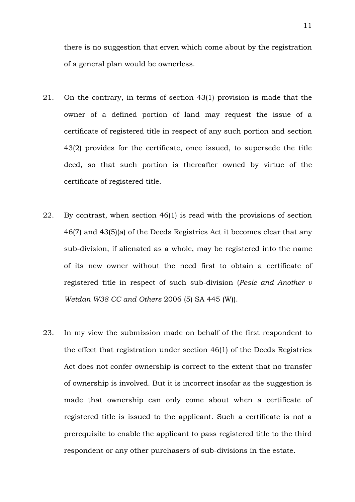there is no suggestion that erven which come about by the registration of a general plan would be ownerless.

- 21. On the contrary, in terms of section 43(1) provision is made that the owner of a defined portion of land may request the issue of a certificate of registered title in respect of any such portion and section 43(2) provides for the certificate, once issued, to supersede the title deed, so that such portion is thereafter owned by virtue of the certificate of registered title.
- 22. By contrast, when section 46(1) is read with the provisions of section 46(7) and 43(5)(a) of the Deeds Registries Act it becomes clear that any sub-division, if alienated as a whole, may be registered into the name of its new owner without the need first to obtain a certificate of registered title in respect of such sub-division (*Pesic and Another v Wetdan W38 CC and Others* 2006 (5) SA 445 (W)).
- 23. In my view the submission made on behalf of the first respondent to the effect that registration under section 46(1) of the Deeds Registries Act does not confer ownership is correct to the extent that no transfer of ownership is involved. But it is incorrect insofar as the suggestion is made that ownership can only come about when a certificate of registered title is issued to the applicant. Such a certificate is not a prerequisite to enable the applicant to pass registered title to the third respondent or any other purchasers of sub-divisions in the estate.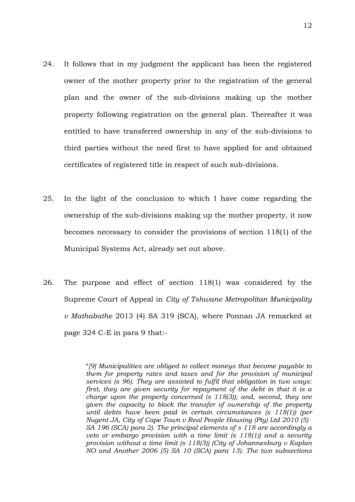- 24. It follows that in my judgment the applicant has been the registered owner of the mother property prior to the registration of the general plan and the owner of the sub-divisions making up the mother property following registration on the general plan. Thereafter it was entitled to have transferred ownership in any of the sub-divisions to third parties without the need first to have applied for and obtained certificates of registered title in respect of such sub-divisions.
- 25. In the light of the conclusion to which I have come regarding the ownership of the sub-divisions making up the mother property, it now becomes necessary to consider the provisions of section 118(1) of the Municipal Systems Act, already set out above.
- 26. The purpose and effect of section 118(1) was considered by the Supreme Court of Appeal in *City of Tshwane Metropolitan Municipality v Mathabathe* 2013 (4) SA 319 (SCA), where Ponnan JA remarked at page 324 C-E in para 9 that:-

"*[9] Municipalities are obliged to collect moneys that become payable to them for property rates and taxes and for the provision of municipal services (s 96). They are assisted to fulfil that obligation in two ways: first, they are given security for repayment of the debt in that it is a charge upon the property concerned (s 118(3)); and, second, they are given the capacity to block the transfer of ownership of the property until debts have been paid in certain circumstances (s 118(1)) (per Nugent JA, City of Cape Town v Real People Housing (Pty) Ltd 2010 (5) SA 196 (SCA) para 2). The principal elements of s 118 are accordingly a veto or embargo provision with a time limit (s 118(1)) and a security provision without a time limit (s 118(3)) (City of Johannesburg v Kaplan NO and Another 2006 (5) SA 10 (SCA) para 13). The two subsections*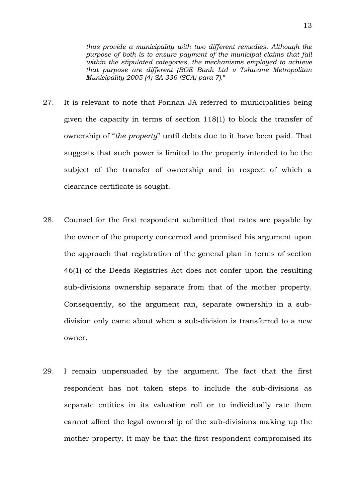*thus provide a municipality with two different remedies. Although the purpose of both is to ensure payment of the municipal claims that fall within the stipulated categories, the mechanisms employed to achieve that purpose are different (BOE Bank Ltd v Tshwane Metropolitan Municipality 2005 (4) SA 336 (SCA) para 7).*"

- 27. It is relevant to note that Ponnan JA referred to municipalities being given the capacity in terms of section 118(1) to block the transfer of ownership of "*the property*" until debts due to it have been paid. That suggests that such power is limited to the property intended to be the subject of the transfer of ownership and in respect of which a clearance certificate is sought.
- 28. Counsel for the first respondent submitted that rates are payable by the owner of the property concerned and premised his argument upon the approach that registration of the general plan in terms of section 46(1) of the Deeds Registries Act does not confer upon the resulting sub-divisions ownership separate from that of the mother property. Consequently, so the argument ran, separate ownership in a subdivision only came about when a sub-division is transferred to a new owner.
- 29. I remain unpersuaded by the argument. The fact that the first respondent has not taken steps to include the sub-divisions as separate entities in its valuation roll or to individually rate them cannot affect the legal ownership of the sub-divisions making up the mother property. It may be that the first respondent compromised its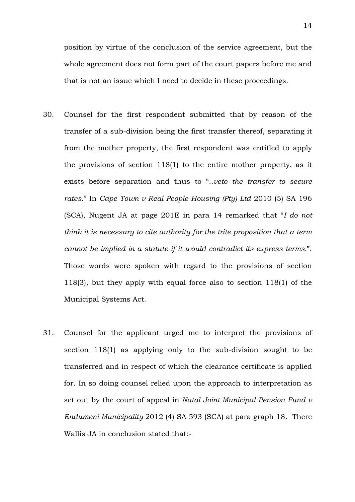position by virtue of the conclusion of the service agreement, but the whole agreement does not form part of the court papers before me and that is not an issue which I need to decide in these proceedings.

- 30. Counsel for the first respondent submitted that by reason of the transfer of a sub-division being the first transfer thereof, separating it from the mother property, the first respondent was entitled to apply the provisions of section 118(1) to the entire mother property, as it exists before separation and thus to "..*veto the transfer to secure rates.*" In *Cape Town v Real People Housing (Pty) Ltd* 2010 (5) SA 196 (SCA), Nugent JA at page 201E in para 14 remarked that "*I do not think it is necessary to cite authority for the trite proposition that a term cannot be implied in a statute if it would contradict its express terms.*". Those words were spoken with regard to the provisions of section 118(3), but they apply with equal force also to section 118(1) of the Municipal Systems Act.
- 31. Counsel for the applicant urged me to interpret the provisions of section 118(1) as applying only to the sub-division sought to be transferred and in respect of which the clearance certificate is applied for. In so doing counsel relied upon the approach to interpretation as set out by the court of appeal in *Natal Joint Municipal Pension Fund v Endumeni Municipality* 2012 (4) SA 593 (SCA) at para graph 18. There Wallis JA in conclusion stated that:-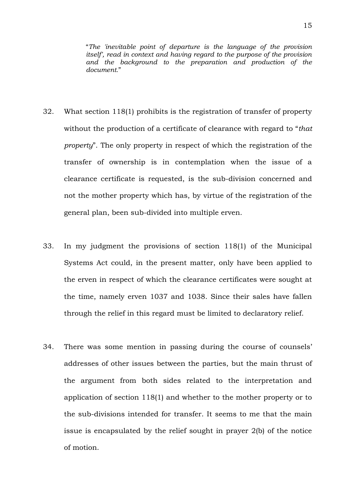"*The 'inevitable point of departure is the language of the provision itself', read in context and having regard to the purpose of the provision and the background to the preparation and production of the document.*"

- 32. What section 118(1) prohibits is the registration of transfer of property without the production of a certificate of clearance with regard to "*that property*". The only property in respect of which the registration of the transfer of ownership is in contemplation when the issue of a clearance certificate is requested, is the sub-division concerned and not the mother property which has, by virtue of the registration of the general plan, been sub-divided into multiple erven.
- 33. In my judgment the provisions of section 118(1) of the Municipal Systems Act could, in the present matter, only have been applied to the erven in respect of which the clearance certificates were sought at the time, namely erven 1037 and 1038. Since their sales have fallen through the relief in this regard must be limited to declaratory relief.
- 34. There was some mention in passing during the course of counsels' addresses of other issues between the parties, but the main thrust of the argument from both sides related to the interpretation and application of section 118(1) and whether to the mother property or to the sub-divisions intended for transfer. It seems to me that the main issue is encapsulated by the relief sought in prayer 2(b) of the notice of motion.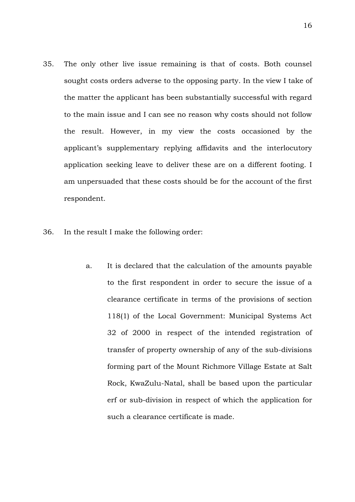- 35. The only other live issue remaining is that of costs. Both counsel sought costs orders adverse to the opposing party. In the view I take of the matter the applicant has been substantially successful with regard to the main issue and I can see no reason why costs should not follow the result. However, in my view the costs occasioned by the applicant's supplementary replying affidavits and the interlocutory application seeking leave to deliver these are on a different footing. I am unpersuaded that these costs should be for the account of the first respondent.
- 36. In the result I make the following order:
	- a. It is declared that the calculation of the amounts payable to the first respondent in order to secure the issue of a clearance certificate in terms of the provisions of section 118(1) of the Local Government: Municipal Systems Act 32 of 2000 in respect of the intended registration of transfer of property ownership of any of the sub-divisions forming part of the Mount Richmore Village Estate at Salt Rock, KwaZulu-Natal, shall be based upon the particular erf or sub-division in respect of which the application for such a clearance certificate is made.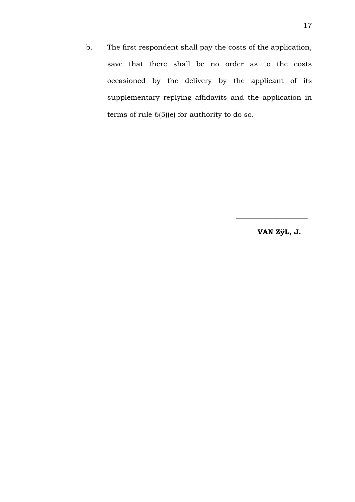b. The first respondent shall pay the costs of the application, save that there shall be no order as to the costs occasioned by the delivery by the applicant of its supplementary replying affidavits and the application in terms of rule 6(5)(e) for authority to do so.

**VAN ZÿL, J.**

\_\_\_\_\_\_\_\_\_\_\_\_\_\_\_\_\_\_\_\_